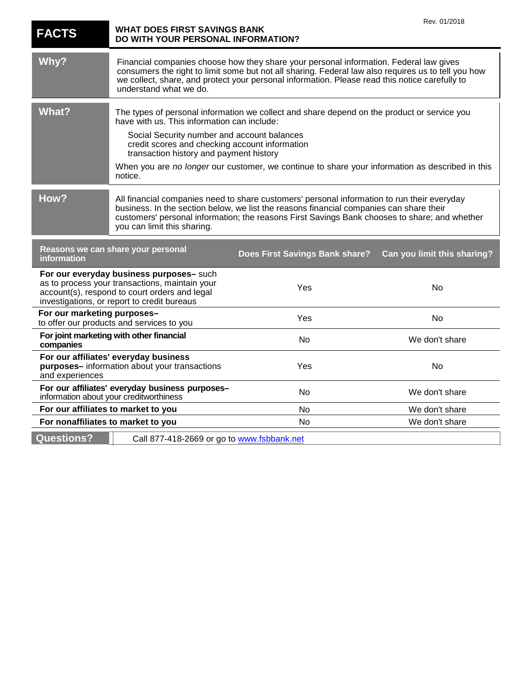| <b>FACTS</b>                                                                                                                                                                               | <b>WHAT DOES FIRST SAVINGS BANK</b><br>DO WITH YOUR PERSONAL INFORMATION?                                                                                                                                                                                                                                                 |                                                                                                 | Rev. 01/2018                |
|--------------------------------------------------------------------------------------------------------------------------------------------------------------------------------------------|---------------------------------------------------------------------------------------------------------------------------------------------------------------------------------------------------------------------------------------------------------------------------------------------------------------------------|-------------------------------------------------------------------------------------------------|-----------------------------|
| Why?                                                                                                                                                                                       | Financial companies choose how they share your personal information. Federal law gives<br>consumers the right to limit some but not all sharing. Federal law also requires us to tell you how<br>we collect, share, and protect your personal information. Please read this notice carefully to<br>understand what we do. |                                                                                                 |                             |
| <b>What?</b>                                                                                                                                                                               | The types of personal information we collect and share depend on the product or service you<br>have with us. This information can include:                                                                                                                                                                                |                                                                                                 |                             |
|                                                                                                                                                                                            | Social Security number and account balances<br>credit scores and checking account information<br>transaction history and payment history                                                                                                                                                                                  |                                                                                                 |                             |
|                                                                                                                                                                                            | notice.                                                                                                                                                                                                                                                                                                                   | When you are no longer our customer, we continue to share your information as described in this |                             |
| How?                                                                                                                                                                                       | All financial companies need to share customers' personal information to run their everyday<br>business. In the section below, we list the reasons financial companies can share their<br>customers' personal information; the reasons First Savings Bank chooses to share; and whether<br>you can limit this sharing.    |                                                                                                 |                             |
| Reasons we can share your personal<br>Does First Savings Bank share?<br>information                                                                                                        |                                                                                                                                                                                                                                                                                                                           |                                                                                                 | Can you limit this sharing? |
| For our everyday business purposes- such<br>as to process your transactions, maintain your<br>account(s), respond to court orders and legal<br>investigations, or report to credit bureaus |                                                                                                                                                                                                                                                                                                                           | Yes                                                                                             | No                          |
| For our marketing purposes-<br>to offer our products and services to you                                                                                                                   |                                                                                                                                                                                                                                                                                                                           | Yes                                                                                             | No                          |
| For joint marketing with other financial<br>companies                                                                                                                                      |                                                                                                                                                                                                                                                                                                                           | No                                                                                              | We don't share              |
| For our affiliates' everyday business<br>purposes-information about your transactions<br>and experiences                                                                                   |                                                                                                                                                                                                                                                                                                                           | Yes                                                                                             | No                          |
| For our affiliates' everyday business purposes-<br>information about your creditworthiness                                                                                                 |                                                                                                                                                                                                                                                                                                                           | No                                                                                              | We don't share              |
| For our affiliates to market to you                                                                                                                                                        |                                                                                                                                                                                                                                                                                                                           | No                                                                                              | We don't share              |
| For nonaffiliates to market to you                                                                                                                                                         |                                                                                                                                                                                                                                                                                                                           | No                                                                                              | We don't share              |
| <b>Questions?</b>                                                                                                                                                                          | Call 877-418-2669 or go to www.fsbbank.net                                                                                                                                                                                                                                                                                |                                                                                                 |                             |